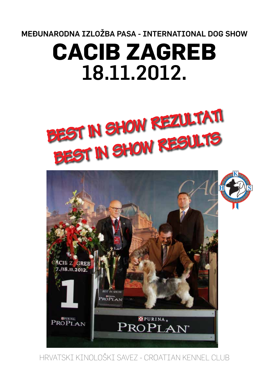MEĐUNARODNA IZLOŽBA PASA - INTERNATIONAL DOG SHOW

# **CACIB ZAGREB**  18.11.2012.





HRVATSKI KINOLOŠKI SAVEZ - CROATIAN KENNEL CLUB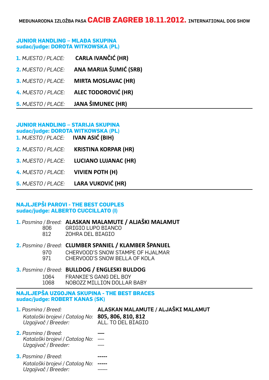# **JUNIOR HANDLING – MLAĐA SKUPINA sudac/judge: DOROTA WITKOWSKA (PL)**

| <b>CARLA IVANČIĆ (HR)</b>  | 1. MJESTO / PLACE:        |
|----------------------------|---------------------------|
| ANA MARIJA ŠUMIĆ (SRB)     | 2. MJESTO / PLACE:        |
| <b>MIRTA MOSLAVAC (HR)</b> | 3. MJESTO / PLACE:        |
| <b>ALEC TODOROVIĆ (HR)</b> | 4. MJESTO / PLACE:        |
| <b>JANA ŠIMUNEC (HR)</b>   | <b>5.</b> MJESTO / PLACE: |

# **JUNIOR HANDLING – STARIJA SKUPINA**

|                             | sudac/judge: DOROTA WITKOWSKA (PL)<br>1. MJESTO / PLACE: IVAN ASIĆ (BIH) |
|-----------------------------|--------------------------------------------------------------------------|
| <b>KRISTINA KORPAR (HR)</b> | 2. MJESTO / PLACE:                                                       |
| <b>LUCIANO LUJANAC (HR)</b> | 3. MJESTO / PLACE:                                                       |
| <b>VIVIEN POTH (H)</b>      | 4. MJESTO / PLACE:                                                       |
| <b>LARA VUKOVIĆ (HR)</b>    | <b>5.</b> MJESTO / PLACE:                                                |

# **NAJLJEPŠI PAROVI - THE BEST COUPLES sudac/judge: ALBERTO CUCCILLATO (I)**

# **1.** *Pasmina / Breed:* **ALASKAN MALAMUTE / ALJAŠKI MALAMUT**

- 806 GRIGIO LUPO BIANCO
- 812 ZOHRA DEL BIAGIO

# **2.** *Pasmina / Breed:* **CLUMBER SPANIEL / KLAMBER ŠPANIJEL**

- 970 CHERVOOD'S SNOW STAMPE OF HJALMAR
- 971 CHERVOOD'S SNOW BELLA OF KOLA

# **3.** *Pasmina / Breed:* **BULLDOG / ENGLESKI BULDOG** 1064 FRANKIE'S GANG DEL BOY

1068 NOBOZZ MILLION DOLLAR BABY

# **NAJLJEPŠA UZGOJNA SKUPINA - THE BEST BRACES sudac/judge: ROBERT KANAS (SK)**

| <b>1.</b> Pasmina / Breed:<br>Kataloški brojevi / Catalog No:<br>Uzgajivač / Breeder: | ALASKAN MALAMUTE / ALJAŠKI MALAMUT<br>805, 806, 810, 812<br>ALL. TO DEL BIAGIO |
|---------------------------------------------------------------------------------------|--------------------------------------------------------------------------------|
| <b>2.</b> Pasmina / Breed:<br>Kataloški brojevi / Catalog No:<br>Uzgajivač / Breeder: | $\qquad \qquad - \qquad -$                                                     |
| <b>3.</b> Pasmina / Breed:<br>Kataločki brojovi / Catalog Nov                         |                                                                                |

*Kataloški brojevi / Catalog No:* **-----** *Uzgajivač / Breeder:* ------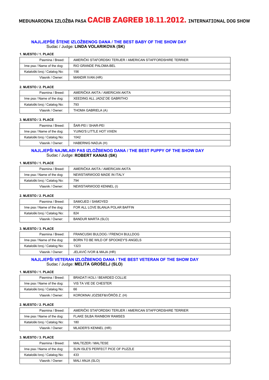MEĐUNARODNA IZLOŽBA PASA **CACIB ZAGREB 18.11.2012.** INTERNATIONAL DOG SHOW

#### **NAJLJEPŠE ŠTENE IZLOŽBENOG DANA / THE BEST BABY OF THE SHOW DAY** Sudac / Judge: **LINDA VOLARIKOVA (SK)**

#### **1. MJESTO / 1. PLACE**

| Pasmina / Breed:             | AMERIČKI STAFORDSKI TERIJER / AMERICAN STAFFORDSHIRE TERRIER |
|------------------------------|--------------------------------------------------------------|
| Ime psa / Name of the dog:   | RIO GRANDE PALOMA-BEL                                        |
| Kataloški broj / Catalog No: | 156                                                          |
| Vlasnik / Owner:             | MANDIR IVAN (HR)                                             |

#### **2. MJESTO / 2. PLACE**

| Pasmina / Breed:             | AMERIČKA AKITA / AMERICAN AKITA |
|------------------------------|---------------------------------|
| Ime psa / Name of the dog:   | XEEDING ALL JADIZ DE GABRITHO   |
| Kataloški broj / Catalog No: | 793                             |
| Vlasnik / Owner:             | THOMA GABRIELA (A)              |

#### **3. MJESTO / 3. PLACE**

| Pasmina / Breed:             | ŠAR-PEI / SHAR-PEI        |
|------------------------------|---------------------------|
| Ime psa / Name of the dog:   | YIJING'S LITTLE HOT VIXEN |
| Kataloški broj / Catalog No: | 1042                      |
| Vlasnik / Owner:             | HABERNIG NADJA (H)        |

#### **NAJLJEPŠI NAJMLAĐI PAS IZLOŽBENOG DANA / THE BEST PUPPY OF THE SHOW DAY** Sudac / Judge: **ROBERT KANAS (SK)**

#### **1. MJESTO / 1. PLACE**

| Pasmina / Breed:             | AMERIČKA AKITA / AMERICAN AKITA |
|------------------------------|---------------------------------|
| Ime psa / Name of the dog:   | NEWSTARWOOD MADE IN ITALY       |
| Kataloški broj / Catalog No: | 794                             |
| Vlasnik / Owner:             | NEWSTARWOOD KENNEL (I)          |

#### **2. MJESTO / 2. PLACE**

| Pasmina / Breed:             | SAMOJED / SAMOYED                |
|------------------------------|----------------------------------|
| Ime psa / Name of the dog:   | FOR ALL LOVE BLANJA POLAR BAFFIN |
| Kataloški broj / Catalog No: | 824                              |
| Vlasnik / Owner:             | BANDUR MARTA (SLO)               |

#### **3. MJESTO / 3. PLACE**

| FRANCUSKI BULDOG / FRENCH BULLDOG   |
|-------------------------------------|
| BORN TO BE WILD OF SPOOKEY'S ANGELS |
| 1323                                |
| JELAVIĆ IVOR & MAJA (HR)            |
|                                     |

## **NAJLJEPŠI VETERAN IZLOŽBENOG DANA / THE BEST VETERAN OF THE SHOW DAY** Sudac / Judge: **MELITA GROŠELJ (SLO)**

#### **1. MJESTO / 1. PLACE**

| Pasmina / Breed:             | BRADATI KOLI / BEARDED COLLIE |
|------------------------------|-------------------------------|
| Ime psa / Name of the dog:   | VIS TA VIE DE CHESTER         |
| Kataloški broj / Catalog No: | 66                            |
| Vlasnik / Owner:             | KOROKNAI JOZSEF&VÖRÖS Z. (H)  |

#### **2. MJESTO / 2. PLACE**

| Pasmina / Breed:             | AMERIČKI STAFORDSKI TERIJER / AMERICAN STAFFORDSHIRE TERRIER |
|------------------------------|--------------------------------------------------------------|
| Ime psa / Name of the dog:   | <b>FLAKE SILBA RAINBOW RAMSES</b>                            |
| Kataloški broj / Catalog No: | 180                                                          |
| Vlasnik / Owner:             | MLADER'S KENNEL (HR)                                         |

| Pasmina / Breed:             | MALTEZER / MALTESE                |
|------------------------------|-----------------------------------|
| Ime psa / Name of the dog:   | SUN ISLE'S PERFECT PICE OF PUZZLE |
| Kataloški broj / Catalog No: | 433                               |
| Vlasnik / Owner:             | MALI ANJA (SLO)                   |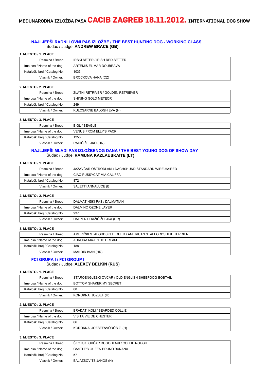### **NAJLJEPŠI RADNI LOVNI PAS IZLOŽBE / THE BEST HUNTING DOG - WORKING CLASS** Sudac / Judge: **ANDREW BRACE (GB)**

#### **1. MJESTO / 1. PLACE**

| Pasmina / Breed:             | <b>IRSKI SETER / IRISH RED SETTER</b> |
|------------------------------|---------------------------------------|
| Ime psa / Name of the dog:   | ARTEMIS ELIMAR DOUBRAVA               |
| Kataloški broj / Catalog No: | 1033                                  |
| Vlasnik / Owner:             | BROCKOVA HANA (CZ)                    |

#### **2. MJESTO / 2. PLACE**

| Pasmina / Breed:             | ZLATNI RETRIVER / GOLDEN RETRIEVER |
|------------------------------|------------------------------------|
| Ime psa / Name of the dog:   | SHINING GOLD METEOR                |
| Kataloški broj / Catalog No: | 249                                |
| Vlasnik / Owner:             | KULCSARNE BALOGH EVA (H)           |

#### **3. MJESTO / 3. PLACE**

| Pasmina / Breed:             | BIGL / BEAGLE                 |
|------------------------------|-------------------------------|
| Ime psa / Name of the dog:   | <b>VENUS FROM ELLY'S PACK</b> |
| Kataloški broj / Catalog No: | 1253                          |
| Vlasnik / Owner:             | RADIĆ ŽELJKO (HR)             |

#### **NAJLJEPŠI MLADI PAS IZLOŽBENOG DANA / THE BEST YOUNG DOG OF SHOW DAY** Sudac / Judge: **RAMUNA KAZLAUSKAITE (LT)**

#### **1. MJESTO / 1. PLACE**

| Pasmina / Breed:             | JAZAVČAR OŠTRODLAKI / DACHSHUND STANDARD WIRE-HAIRED |
|------------------------------|------------------------------------------------------|
| Ime psa / Name of the dog:   | CIAO PUSSYCAT MIA CALIFFA                            |
| Kataloški broj / Catalog No: | 872                                                  |
| Vlasnik / Owner:             | SALETTI ANNALUCE (I)                                 |

#### **2. MJESTO / 2. PLACE**

| Pasmina / Breed:             | DALMATINSKI PAS / DALMATIAN |
|------------------------------|-----------------------------|
| Ime psa / Name of the dog:   | DALMINO OZONE LAYER         |
| Kataloški broj / Catalog No: | 937                         |
| Vlasnik / Owner:             | HALPER DRAŽIĆ ŽELJKA (HR)   |

#### **3. MJESTO / 3. PLACE**

| Pasmina / Breed:             | AMERIČKI STAFORDSKI TERIJER / AMERICAN STAFFORDSHIRE TERRIER |
|------------------------------|--------------------------------------------------------------|
| Ime psa / Name of the dog:   | AURORA MAJESTIC DREAM                                        |
| Kataloški broj / Catalog No: | 188                                                          |
| Vlasnik / Owner:             | MANDIR IVAN (HR)                                             |

#### **FCI GRUPA I / FCI GROUP I** Sudac / Judge: **ALEXEY BELKIN (RUS)**

#### **1. MJESTO / 1. PLACE**

| Pasmina / Breed:             | STAROENGLESKI OVČAR / OLD ENGLISH SHEEPDOG-BOBTAIL |
|------------------------------|----------------------------------------------------|
| Ime psa / Name of the dog:   | BOTTOM SHAKER MY SECRET                            |
| Kataloški broj / Catalog No: | 68                                                 |
| Vlasnik / Owner:             | KOROKNAI JOZSEF (H)                                |

#### **2. MJESTO / 2. PLACE**

| Pasmina / Breed:             | BRADATI KOLI / BEARDED COLLIE |
|------------------------------|-------------------------------|
| Ime psa / Name of the dog:   | VIS TA VIE DE CHESTER         |
| Kataloški broj / Catalog No: | 66                            |
| Vlasnik / Owner:             | KOROKNAI JOZSEF&VÖRÖS Z. (H)  |

| Pasmina / Breed:             | ŠKOTSKI OVČAR DUGODLAKI / COLLIE ROUGH |
|------------------------------|----------------------------------------|
| Ime psa / Name of the dog:   | CASTLE'S QUEEN BRUNO BANANA            |
| Kataloški broj / Catalog No: | 57                                     |
| Vlasnik / Owner:             | BALAZSOVITS JANOS (H)                  |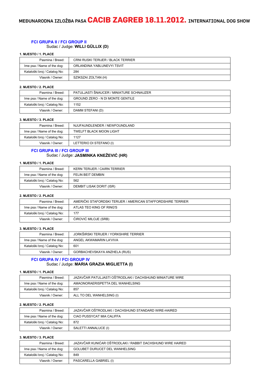# **FCI GRUPA II / FCI GROUP II**

# Sudac / Judge: **WILLI GÜLLIX (D)**

#### **1. MJESTO / 1. PLACE**

| Pasmina / Breed:             | <b>CRNI RUSKI TERIJER / BLACK TERRIER</b> |
|------------------------------|-------------------------------------------|
| Ime psa / Name of the dog:   | ORLANDINA YABLUNEVYI TSVIT                |
| Kataloški broj / Catalog No: | 284                                       |
| Vlasnik / Owner:             | SZIKSZAI ZOLTAN (H)                       |

#### **2. MJESTO / 2. PLACE**

| Pasmina / Breed:             | PATULJASTI ŠNAUCER / MINIATURE SCHNAUZER |
|------------------------------|------------------------------------------|
| Ime psa / Name of the dog:   | <b>GROUND ZERO - N DI MONTE GENTILE</b>  |
| Kataloški broj / Catalog No: | 1152                                     |
| Vlasnik / Owner:             | DAMM STEFANI (D)                         |

#### **3. MJESTO / 3. PLACE**

| Pasmina / Breed:             | NJUFAUNDLENDER / NEWFOUNDLAND  |
|------------------------------|--------------------------------|
| Ime psa / Name of the dog:   | <b>TWELFT BLACK MOON LIGHT</b> |
| Kataloški broj / Catalog No: | 1127                           |
| Vlasnik / Owner:             | LETTERIO DI STEFANO (I)        |

## **FCI GRUPA III / FCI GROUP III** Sudac / Judge: **JASMINKA KNEŽEVIĆ (HR)**

# **1. MJESTO / 1. PLACE**

| Pasmina / Breed:             | <b>KERN TERIJER / CAIRN TERRIER</b> |
|------------------------------|-------------------------------------|
| Ime psa / Name of the dog:   | FELIN BEIT DEMBIN                   |
| Kataloški broj / Catalog No: | 562                                 |
| Vlasnik / Owner:             | DEMBIT LISAK DORIT (ISR)            |

#### **2. MJESTO / 2. PLACE**

| Pasmina / Breed:             | AMERIČKI STAFORDSKI TERIJER / AMERICAN STAFFORDSHIRE TERRIER |
|------------------------------|--------------------------------------------------------------|
| Ime psa / Name of the dog:   | ATLAS TEO KING OF RING'S                                     |
| Kataloški broj / Catalog No: | 177                                                          |
| Vlasnik / Owner:             | ĆIROVIĆ MILOJE (SRB)                                         |

#### **3. MJESTO / 3. PLACE**

| Pasmina / Breed:             | JORKŠIRSKI TERIJER / YORKSHIRE TERRIER |
|------------------------------|----------------------------------------|
| Ime psa / Name of the dog:   | ANGEL AKWAMARIN LA'VIVA                |
| Kataloški broj / Catalog No: | 601                                    |
| Vlasnik / Owner:             | GORBACHEVSKAYA ANZHELA (RUS)           |

# **FCI GRUPA IV / FCI GROUP IV** Sudac / Judge: **MARIA GRAZIA MIGLIETTA (I)**

#### **1. MJESTO / 1. PLACE**

| Pasmina / Breed:             | JAZAVČAR PATULJASTI OŠTRODLAKI / DACHSHUND MINIATURE WIRE |
|------------------------------|-----------------------------------------------------------|
| Ime psa / Name of the dog:   | AMAONORAERISPETTA DEL WANHELSING                          |
| Kataloški broj / Catalog No: | 857                                                       |
| Vlasnik / Owner:             | ALL TO DEL WANHELSING (I)                                 |

#### **2. MJESTO / 2. PLACE**

| Pasmina / Breed:             | JAZAVČAR OŠTRODLAKI / DACHSHUND STANDARD WIRE-HAIRED |
|------------------------------|------------------------------------------------------|
| Ime psa / Name of the dog:   | CIAO PUSSYCAT MIA CALIFFA                            |
| Kataloški broj / Catalog No: | 872                                                  |
| Vlasnik / Owner:             | SALETTI ANNALUCE (I)                                 |

| Pasmina / Breed:             | JAZAVČAR KUNIĆAR OŠTRODLAKI / RABBIT DACHSHUND WIRE HAIRED |
|------------------------------|------------------------------------------------------------|
| Ime psa / Name of the dog:   | GOLUBET DURUCET DEL WANHELSING                             |
| Kataloški broj / Catalog No: | 849                                                        |
| Vlasnik / Owner:             | PASCARELLA GABRIEL (I)                                     |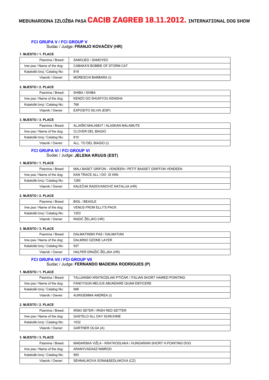## **FCI GRUPA V / FCI GROUP V** Sudac / Judge: **FRANJO KOVAČEV (HR)**

#### **1. MJESTO / 1. PLACE**

| Pasmina / Breed:             | SAMOJED / SAMOYED            |
|------------------------------|------------------------------|
| Ime psa / Name of the dog:   | CABAKA'S BOBBIE OF STORM CAT |
| Kataloški broj / Catalog No: | 819                          |
| Vlasnik / Owner:             | MORESCHI BARBARA (I)         |

#### **2. MJESTO / 2. PLACE**

| Pasmina / Breed:             | SHIBA / SHIBA            |
|------------------------------|--------------------------|
| Ime psa / Name of the dog:   | KENZO GO SHUN'YOU KENSHA |
| Kataloški broj / Catalog No: | 766                      |
| Vlasnik / Owner:             | EXPOSITO SILVIA (ESP)    |

#### **3. MJESTO / 3. PLACE**

| Pasmina / Breed:             | ALJAŠKI MALAMUT / ALASKAN MALAMUTE |
|------------------------------|------------------------------------|
| Ime psa / Name of the dog:   | <b>CLOVER DEL BIAGIO</b>           |
| Kataloški broj / Catalog No: | 810                                |
| Vlasnik / Owner:             | ALL. TO DEL BIAGIO (I)             |

## **FCI GRUPA VI / FCI GROUP VI** Sudac / Judge: **JELENA KRUUS (EST)**

# **1. MJESTO / 1. PLACE**

| Pasmina / Breed:             | MALI BASET GRIFON - VENDEEN / PETIT BASSET GRIFFON VENDEEN |
|------------------------------|------------------------------------------------------------|
| Ime psa / Name of the dog:   | KAN TRACE ALL I DO IS WIN                                  |
| Kataloški broj / Catalog No: | 1265                                                       |
| Vlasnik / Owner:             | KALEČAK RADOVANOVIĆ NATALIJA (HR)                          |

#### **2. MJESTO / 2. PLACE**

| Pasmina / Breed:             | BIGL / BEAGLE                 |
|------------------------------|-------------------------------|
| Ime psa / Name of the dog:   | <b>VENUS FROM ELLY'S PACK</b> |
| Kataloški broj / Catalog No: | 1253                          |
| Vlasnik / Owner:             | RADIĆ ŽELJKO (HR)             |

#### **3. MJESTO / 3. PLACE**

| Pasmina / Breed:             | DALMATINSKI PAS / DALMATIAN |
|------------------------------|-----------------------------|
| Ime psa / Name of the dog:   | DALMINO OZONE LAYER         |
| Kataloški broj / Catalog No: | 937                         |
| Vlasnik / Owner:             | HALPER DRAŽIĆ ŽELJKA (HR)   |

## **FCI GRUPA VII / FCI GROUP VII** Sudac / Judge: **FERNANDO MADEIRA RODRIGUES (P)**

#### **1. MJESTO / 1. PLACE**

| Pasmina / Breed:             | TALIJANSKI KRATKODLAKI PTIČAR / ITALIAN SHORT HAIRED POINTING |
|------------------------------|---------------------------------------------------------------|
| Ime psa / Name of the dog:   | FANCYGUN MELIUS ABUNDARE QUAM DEFICERE                        |
| Kataloški broj / Catalog No: | 996                                                           |
| Vlasnik / Owner:             | AURIGEMMA ANDREA (I)                                          |

#### **2. MJESTO / 2. PLACE**

| Pasmina / Breed:             | <b>IRSKI SETER / IRISH RED SETTER</b> |
|------------------------------|---------------------------------------|
| Ime psa / Name of the dog:   | <b>GASTELO ALL DAY SUNCHINE</b>       |
| Kataloški broj / Catalog No: | 1032                                  |
| Vlasnik / Owner:             | GARTNER OLGA (A)                      |

| Pasmina / Breed:             | MAĐARSKA VIŽLA - KRATKODLAKA / HUNGARIAN SHORT H.POINTING DOG |
|------------------------------|---------------------------------------------------------------|
| Ime psa / Name of the dog:   | ARANYVADASZ NIMROD                                            |
| Kataloški broj / Catalog No: | 993                                                           |
| Vlasnik / Owner:             | SEHNALIKOVA SONA&SEDLAKOVA (CZ)                               |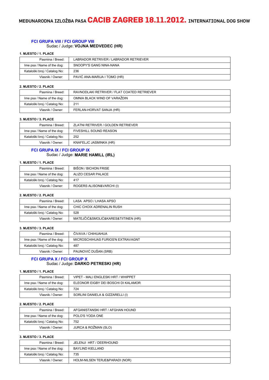#### **FCI GRUPA VIII / FCI GROUP VIII** Sudac / Judge: **VOJNA MEDVEDEC (HR)**

#### **1. MJESTO / 1. PLACE**

| Pasmina / Breed:             | LABRADOR RETRIVER / LABRADOR RETRIEVER |
|------------------------------|----------------------------------------|
| Ime psa / Name of the dog:   | SNOOPY'S GANG NINA-NANA                |
| Kataloški broj / Catalog No: | 236                                    |
| Vlasnik / Owner:             | PAVIĆ ANA-MARIJA I TOMO (HR)           |

#### **2. MJESTO / 2. PLACE**

| Pasmina / Breed:             | RAVNODLAKI RETRIVER / FLAT COATED RETRIEVER |
|------------------------------|---------------------------------------------|
| Ime psa / Name of the dog:   | OMNIA BLACK WIND OF VARAŽDIN                |
| Kataloški broj / Catalog No: | 211                                         |
| Vlasnik / Owner:             | FERLAN-HORVAT SANJA (HR)                    |

#### **3. MJESTO / 3. PLACE**

| Pasmina / Breed:             | ZLATNI RETRIVER / GOLDEN RETRIEVER |
|------------------------------|------------------------------------|
| Ime psa / Name of the dog:   | <b>FIVESHILL SOUND REASON</b>      |
| Kataloški broj / Catalog No: | 252                                |
| Vlasnik / Owner:             | KNAFELJC JASMINKA (HR)             |

## **FCI GRUPA IX / FCI GROUP IX** Sudac / Judge: **MARIE HAMILL (IRL)**

#### **1. MJESTO / 1. PLACE**

| Pasmina / Breed:             | BIŠON / BICHON FRISE     |
|------------------------------|--------------------------|
| Ime psa / Name of the dog:   | ALIZO CESAR PALACE       |
| Kataloški broj / Catalog No: | 417                      |
| Vlasnik / Owner:             | ROGERS ALISON&VARCHI (I) |

#### **2. MJESTO / 2. PLACE**

| Pasmina / Breed:             | LASA APSO / LHASA APSO              |
|------------------------------|-------------------------------------|
| Ime psa / Name of the dog:   | CHIC CHOIX ADRENALIN RUSH           |
| Kataloški broj / Catalog No: | 528                                 |
| Vlasnik / Owner:             | MATEJČIĆ&SMOLIĆ&KARES&TIITINEN (HR) |

#### **3. MJESTO / 3. PLACE**

| Pasmina / Breed:             | ČIVAVA / CHIHUAHUA                |
|------------------------------|-----------------------------------|
| Ime psa / Name of the dog:   | MICROSCHIHUAS FURIOS'N EXTRAVAGNT |
| Kataloški broj / Catalog No: | 487                               |
| Vlasnik / Owner:             | PAUNOVIĆ DUŠAN (SRB)              |

#### **FCI GRUPA X / FCI GROUP X** Sudac / Judge: **DARKO PETRESKI (HR)**

#### **1. MJESTO / 1. PLACE**

| Pasmina / Breed:             | VIPET - MALI ENGLESKI HRT / WHIPPET |
|------------------------------|-------------------------------------|
| Ime psa / Name of the dog:   | ELEONOR EIGBY DEI BOSCHI DI KALAMOR |
| Kataloški broj / Catalog No: | 724                                 |
| Vlasnik / Owner:             | SORLINI DANIELA & GIZZARELLI (I)    |

#### **2. MJESTO / 2. PLACE**

| Pasmina / Breed:             | AFGANISTANSKI HRT / AFGHAN HOUND |
|------------------------------|----------------------------------|
| Ime psa / Name of the dog:   | POLO'S YODA ONE                  |
| Kataloški broj / Catalog No: | 752                              |
| Vlasnik / Owner:             | JURCA & ROŽMAN (SLO)             |

| Pasmina / Breed:             | JELENJI HRT / DEERHOUND        |
|------------------------------|--------------------------------|
| Ime psa / Name of the dog:   | BAYLIND KIELLAND               |
| Kataloški broj / Catalog No: | 735                            |
| Vlasnik / Owner:             | HOLM-NILSEN TERJE&PARADI (NOR) |